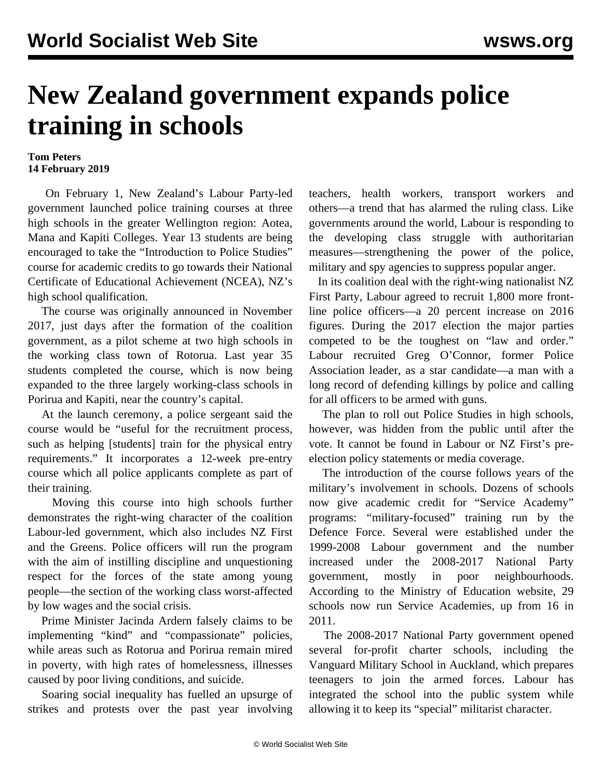## **New Zealand government expands police training in schools**

## **Tom Peters 14 February 2019**

 On February 1, New Zealand's Labour Party-led government launched police training courses at three high schools in the greater Wellington region: Aotea, Mana and Kapiti Colleges. Year 13 students are being encouraged to take the "Introduction to Police Studies" course for academic credits to go towards their National Certificate of Educational Achievement (NCEA), NZ's high school qualification.

 The course was originally announced in November 2017, just days after the formation of the coalition government, as a pilot scheme at two high schools in the working class town of Rotorua. Last year 35 students completed the course, which is now being expanded to the three largely working-class schools in Porirua and Kapiti, near the country's capital.

 At the launch ceremony, a police sergeant said the course would be "useful for the recruitment process, such as helping [students] train for the physical entry requirements." It incorporates a 12-week pre-entry course which all police applicants complete as part of their training.

 Moving this course into high schools further demonstrates the right-wing character of the coalition Labour-led government, which also includes NZ First and the Greens. Police officers will run the program with the aim of instilling discipline and unquestioning respect for the forces of the state among young people—the section of the working class worst-affected by low wages and the social crisis.

 Prime Minister Jacinda Ardern falsely claims to be implementing "kind" and "compassionate" policies, while areas such as Rotorua and Porirua remain mired in poverty, with high rates of homelessness, illnesses caused by poor living conditions, and suicide.

 Soaring social inequality has fuelled an upsurge of strikes and protests over the past year involving teachers, health workers, transport workers and others—a trend that has alarmed the ruling class. Like governments around the world, Labour is responding to the developing class struggle with authoritarian measures—strengthening the power of the police, military and spy agencies to suppress popular anger.

 In its coalition deal with the right-wing nationalist NZ First Party, Labour agreed to recruit 1,800 more frontline police officers—a 20 percent increase on 2016 figures. During the 2017 election the major parties competed to be the toughest on "law and order." Labour recruited Greg O'Connor, former Police Association leader, as a star candidate—a man with a long record of defending killings by police and calling for all officers to be armed with guns.

 The plan to roll out Police Studies in high schools, however, was hidden from the public until after the vote. It cannot be found in Labour or NZ First's preelection policy statements or media coverage.

 The introduction of the course follows years of the military's involvement in schools. Dozens of schools now give academic credit for "Service Academy" programs: "military-focused" training run by the Defence Force. Several were established under the 1999-2008 Labour government and the number increased under the 2008-2017 National Party government, mostly in poor neighbourhoods. According to the Ministry of Education website, 29 schools now run Service Academies, up from 16 in 2011.

 The 2008-2017 National Party government opened several for-profit charter schools, including the Vanguard Military School in Auckland, which prepares teenagers to join the armed forces. Labour has integrated the school into the public system while allowing it to keep its "special" militarist character.